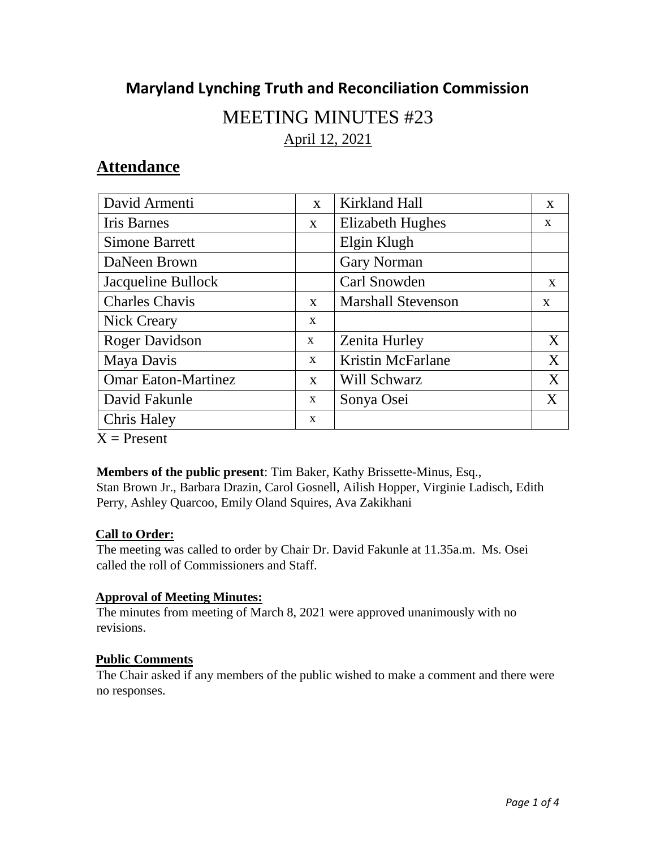# **Maryland Lynching Truth and Reconciliation Commission**

# MEETING MINUTES #23

April 12, 2021

# **Attendance**

| David Armenti                | X            | Kirkland Hall             | X            |
|------------------------------|--------------|---------------------------|--------------|
| <b>Iris Barnes</b>           | $\mathbf{X}$ | <b>Elizabeth Hughes</b>   | X            |
| <b>Simone Barrett</b>        |              | Elgin Klugh               |              |
| DaNeen Brown                 |              | <b>Gary Norman</b>        |              |
| Jacqueline Bullock           |              | Carl Snowden              | X            |
| <b>Charles Chavis</b>        | $\mathbf{X}$ | <b>Marshall Stevenson</b> | $\mathbf{X}$ |
| <b>Nick Creary</b>           | X            |                           |              |
| <b>Roger Davidson</b>        | $\mathbf{x}$ | <b>Zenita Hurley</b>      | X            |
| Maya Davis                   | $\mathbf{X}$ | Kristin McFarlane         | X            |
| <b>Omar Eaton-Martinez</b>   | $\mathbf{X}$ | Will Schwarz              | X            |
| David Fakunle                | X            | Sonya Osei                | X            |
| <b>Chris Haley</b>           | X            |                           |              |
| $\mathbf{V}$ D. $\mathbf{V}$ |              |                           |              |

 $X =$  Present

## **Members of the public present**: Tim Baker, Kathy Brissette-Minus, Esq.,

Stan Brown Jr., Barbara Drazin, Carol Gosnell, Ailish Hopper, Virginie Ladisch, Edith Perry, Ashley Quarcoo, Emily Oland Squires, Ava Zakikhani

## **Call to Order:**

The meeting was called to order by Chair Dr. David Fakunle at 11.35a.m. Ms. Osei called the roll of Commissioners and Staff.

# **Approval of Meeting Minutes:**

The minutes from meeting of March 8, 2021 were approved unanimously with no revisions.

## **Public Comments**

The Chair asked if any members of the public wished to make a comment and there were no responses.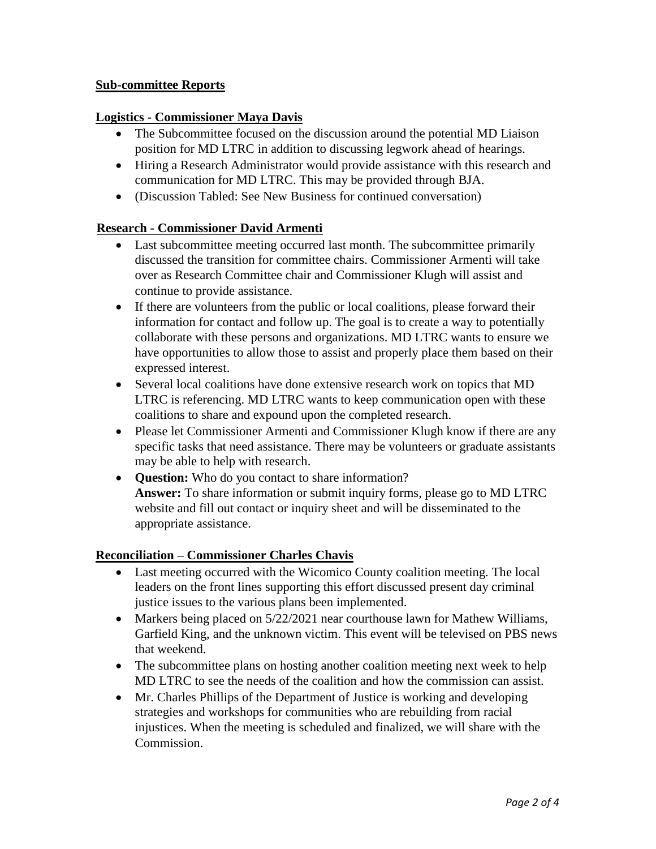#### **Sub-committee Reports**

#### **Logistics - Commissioner Maya Davis**

- The Subcommittee focused on the discussion around the potential MD Liaison position for MD LTRC in addition to discussing legwork ahead of hearings.
- Hiring a Research Administrator would provide assistance with this research and communication for MD LTRC. This may be provided through BJA.
- (Discussion Tabled: See New Business for continued conversation)

#### **Research - Commissioner David Armenti**

- Last subcommittee meeting occurred last month. The subcommittee primarily discussed the transition for committee chairs. Commissioner Armenti will take over as Research Committee chair and Commissioner Klugh will assist and continue to provide assistance.
- If there are volunteers from the public or local coalitions, please forward their information for contact and follow up. The goal is to create a way to potentially collaborate with these persons and organizations. MD LTRC wants to ensure we have opportunities to allow those to assist and properly place them based on their expressed interest.
- Several local coalitions have done extensive research work on topics that MD LTRC is referencing. MD LTRC wants to keep communication open with these coalitions to share and expound upon the completed research.
- Please let Commissioner Armenti and Commissioner Klugh know if there are any specific tasks that need assistance. There may be volunteers or graduate assistants may be able to help with research.
- **Question:** Who do you contact to share information? **Answer:** To share information or submit inquiry forms, please go to MD LTRC website and fill out contact or inquiry sheet and will be disseminated to the appropriate assistance.

#### **Reconciliation – Commissioner Charles Chavis**

- Last meeting occurred with the Wicomico County coalition meeting. The local leaders on the front lines supporting this effort discussed present day criminal justice issues to the various plans been implemented.
- Markers being placed on 5/22/2021 near courthouse lawn for Mathew Williams, Garfield King, and the unknown victim. This event will be televised on PBS news that weekend.
- The subcommittee plans on hosting another coalition meeting next week to help MD LTRC to see the needs of the coalition and how the commission can assist.
- Mr. Charles Phillips of the Department of Justice is working and developing strategies and workshops for communities who are rebuilding from racial injustices. When the meeting is scheduled and finalized, we will share with the Commission.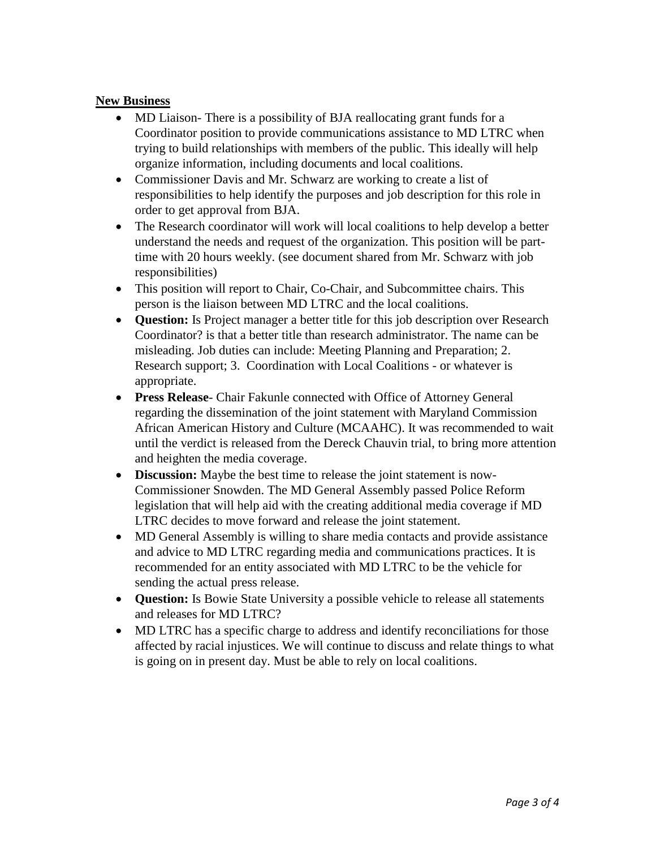#### **New Business**

- MD Liaison-There is a possibility of BJA reallocating grant funds for a Coordinator position to provide communications assistance to MD LTRC when trying to build relationships with members of the public. This ideally will help organize information, including documents and local coalitions.
- Commissioner Davis and Mr. Schwarz are working to create a list of responsibilities to help identify the purposes and job description for this role in order to get approval from BJA.
- The Research coordinator will work will local coalitions to help develop a better understand the needs and request of the organization. This position will be parttime with 20 hours weekly. (see document shared from Mr. Schwarz with job responsibilities)
- This position will report to Chair, Co-Chair, and Subcommittee chairs. This person is the liaison between MD LTRC and the local coalitions.
- **Question:** Is Project manager a better title for this job description over Research Coordinator? is that a better title than research administrator. The name can be misleading. Job duties can include: Meeting Planning and Preparation; 2. Research support; 3. Coordination with Local Coalitions - or whatever is appropriate.
- **Press Release** Chair Fakunle connected with Office of Attorney General regarding the dissemination of the joint statement with Maryland Commission African American History and Culture (MCAAHC). It was recommended to wait until the verdict is released from the Dereck Chauvin trial, to bring more attention and heighten the media coverage.
- **Discussion:** Maybe the best time to release the joint statement is now-Commissioner Snowden. The MD General Assembly passed Police Reform legislation that will help aid with the creating additional media coverage if MD LTRC decides to move forward and release the joint statement.
- MD General Assembly is willing to share media contacts and provide assistance and advice to MD LTRC regarding media and communications practices. It is recommended for an entity associated with MD LTRC to be the vehicle for sending the actual press release.
- **Question:** Is Bowie State University a possible vehicle to release all statements and releases for MD LTRC?
- MD LTRC has a specific charge to address and identify reconciliations for those affected by racial injustices. We will continue to discuss and relate things to what is going on in present day. Must be able to rely on local coalitions.